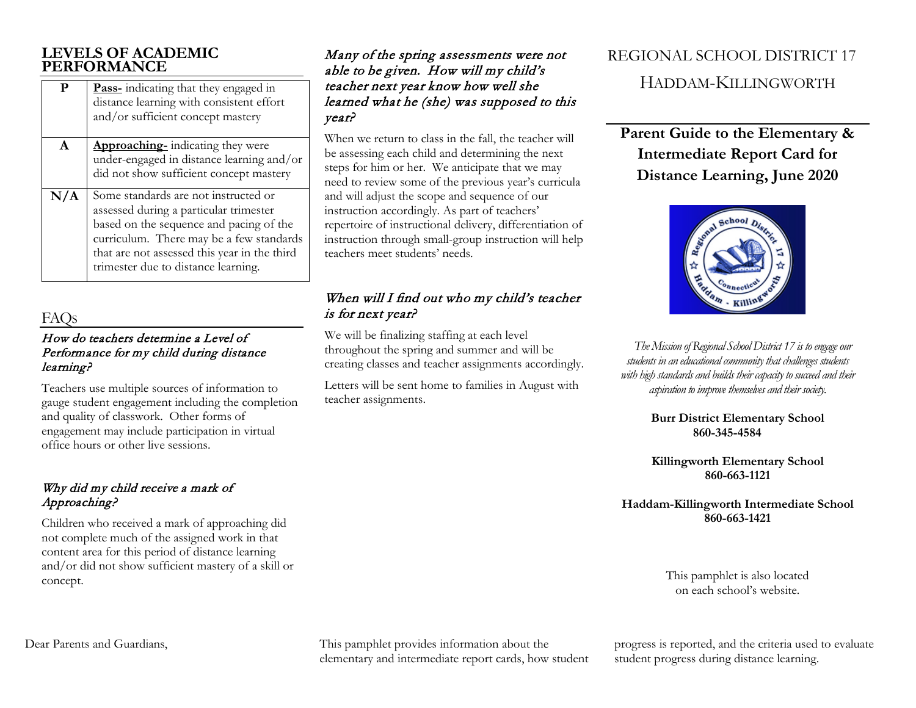### **LEVELS OF ACADEMIC PERFORMANCE**

| P            | <b>Pass-</b> indicating that they engaged in<br>distance learning with consistent effort<br>and/or sufficient concept mastery |
|--------------|-------------------------------------------------------------------------------------------------------------------------------|
| $\mathbf{A}$ | <b>Approaching-</b> indicating they were                                                                                      |
|              | under-engaged in distance learning and/or                                                                                     |
|              | did not show sufficient concept mastery                                                                                       |
| N/A          | Some standards are not instructed or                                                                                          |
|              | assessed during a particular trimester                                                                                        |
|              | based on the sequence and pacing of the                                                                                       |
|              | curriculum. There may be a few standards                                                                                      |
|              | that are not assessed this year in the third                                                                                  |
|              | trimester due to distance learning.                                                                                           |
|              |                                                                                                                               |

# FAQS

#### How do teachers determine a Level of Performance for my child during distance learning?

Teachers use multiple sources of information to gauge student engagement including the completion and quality of classwork. Other forms of engagement may include participation in virtual office hours or other live sessions.

### Why did my child receive a mark of Approaching?

Children who received a mark of approaching did not complete much of the assigned work in that content area for this period of distance learning and/or did not show sufficient mastery of a skill or concept.

### Many of the spring assessments were not able to be given. How will my child's teacher next year know how well she learned what he (she) was supposed to this year?

When we return to class in the fall, the teacher will be assessing each child and determining the next steps for him or her. We anticipate that we may need to review some of the previous year's curricula and will adjust the scope and sequence of our instruction accordingly. As part of teachers' repertoire of instructional delivery, differentiation of instruction through small-group instruction will help teachers meet students' needs.

### When will I find out who my child's teacher is for next year?

We will be finalizing staffing at each level throughout the spring and summer and will be creating classes and teacher assignments accordingly.

Letters will be sent home to families in August with teacher assignments.

# REGIONAL SCHOOL DISTRICT 17 HADDAM-KILLINGWORTH

**Parent Guide to the Elementary & Intermediate Report Card for Distance Learning, June 2020**



*The Mission of Regional School District 17 is to engage our students in an educational community that challenges students with high standards and builds their capacity to succeed and their aspiration to improve themselves and their society.*

> **Burr District Elementary School 860-345-4584**

> **Killingworth Elementary School 860-663-1121**

**Haddam-Killingworth Intermediate School 860-663-1421**

> This pamphlet is also located on each school's website.

Dear Parents and Guardians, This pamphlet provides information about the elementary and intermediate report cards, how student

progress is reported, and the criteria used to evaluate student progress during distance learning.